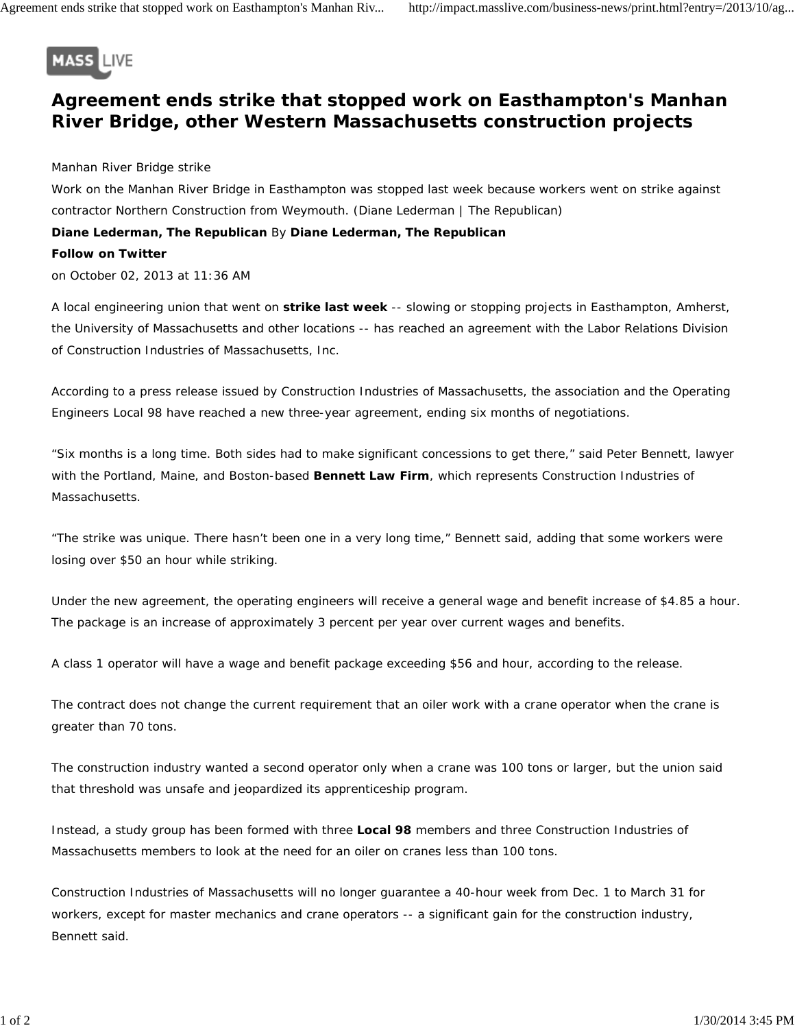

## **Agreement ends strike that stopped work on Easthampton's Manhan River Bridge, other Western Massachusetts construction projects**

Manhan River Bridge strike

Work on the Manhan River Bridge in Easthampton was stopped last week because workers went on strike against contractor Northern Construction from Weymouth. *(Diane Lederman | The Republican)* **Diane Lederman, The Republican** By **Diane Lederman, The Republican Follow on Twitter**

on October 02, 2013 at 11:36 AM

A local engineering union that went on **strike last week** -- slowing or stopping projects in Easthampton, Amherst, the University of Massachusetts and other locations -- has reached an agreement with the Labor Relations Division of Construction Industries of Massachusetts, Inc.

According to a press release issued by Construction Industries of Massachusetts, the association and the Operating Engineers Local 98 have reached a new three-year agreement, ending six months of negotiations.

"Six months is a long time. Both sides had to make significant concessions to get there," said Peter Bennett, lawyer with the Portland, Maine, and Boston-based **Bennett Law Firm**, which represents Construction Industries of Massachusetts.

"The strike was unique. There hasn't been one in a very long time," Bennett said, adding that some workers were losing over \$50 an hour while striking.

Under the new agreement, the operating engineers will receive a general wage and benefit increase of \$4.85 a hour. The package is an increase of approximately 3 percent per year over current wages and benefits.

A class 1 operator will have a wage and benefit package exceeding \$56 and hour, according to the release.

The contract does not change the current requirement that an oiler work with a crane operator when the crane is greater than 70 tons.

The construction industry wanted a second operator only when a crane was 100 tons or larger, but the union said that threshold was unsafe and jeopardized its apprenticeship program.

Instead, a study group has been formed with three **Local 98** members and three Construction Industries of Massachusetts members to look at the need for an oiler on cranes less than 100 tons.

Construction Industries of Massachusetts will no longer guarantee a 40-hour week from Dec. 1 to March 31 for workers, except for master mechanics and crane operators -- a significant gain for the construction industry, Bennett said.